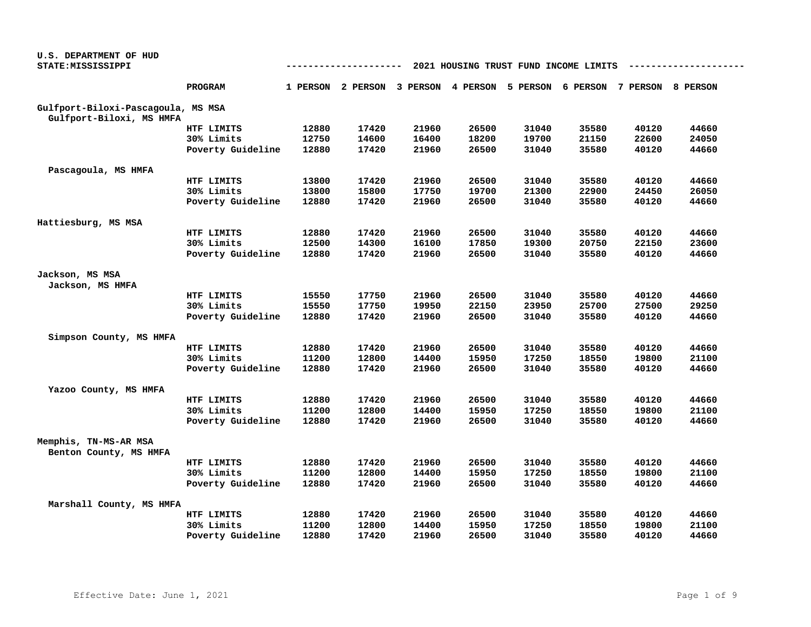| U.S. DEPARTMENT OF HUD              |                   |       |           |                                                                         |       |       |                                       |       |       |
|-------------------------------------|-------------------|-------|-----------|-------------------------------------------------------------------------|-------|-------|---------------------------------------|-------|-------|
| STATE: MISSISSIPPI                  |                   |       | --------- |                                                                         |       |       | 2021 HOUSING TRUST FUND INCOME LIMITS |       |       |
|                                     | PROGRAM           |       |           | 1 PERSON 2 PERSON 3 PERSON 4 PERSON 5 PERSON 6 PERSON 7 PERSON 8 PERSON |       |       |                                       |       |       |
|                                     |                   |       |           |                                                                         |       |       |                                       |       |       |
| Gulfport-Biloxi-Pascagoula, MS MSA  |                   |       |           |                                                                         |       |       |                                       |       |       |
| Gulfport-Biloxi, MS HMFA            |                   |       |           |                                                                         |       |       |                                       |       |       |
|                                     | HTF LIMITS        | 12880 | 17420     | 21960                                                                   | 26500 | 31040 | 35580                                 | 40120 | 44660 |
|                                     | 30% Limits        | 12750 | 14600     | 16400                                                                   | 18200 | 19700 | 21150                                 | 22600 | 24050 |
|                                     | Poverty Guideline | 12880 | 17420     | 21960                                                                   | 26500 | 31040 | 35580                                 | 40120 | 44660 |
| Pascagoula, MS HMFA                 |                   |       |           |                                                                         |       |       |                                       |       |       |
|                                     | HTF LIMITS        | 13800 | 17420     | 21960                                                                   | 26500 | 31040 | 35580                                 | 40120 | 44660 |
|                                     | 30% Limits        | 13800 | 15800     | 17750                                                                   | 19700 | 21300 | 22900                                 | 24450 | 26050 |
|                                     | Poverty Guideline | 12880 | 17420     | 21960                                                                   | 26500 | 31040 | 35580                                 | 40120 | 44660 |
| Hattiesburg, MS MSA                 |                   |       |           |                                                                         |       |       |                                       |       |       |
|                                     | HTF LIMITS        | 12880 | 17420     | 21960                                                                   | 26500 | 31040 | 35580                                 | 40120 | 44660 |
|                                     | 30% Limits        | 12500 | 14300     | 16100                                                                   | 17850 | 19300 | 20750                                 | 22150 | 23600 |
|                                     | Poverty Guideline | 12880 | 17420     | 21960                                                                   | 26500 | 31040 | 35580                                 | 40120 | 44660 |
|                                     |                   |       |           |                                                                         |       |       |                                       |       |       |
| Jackson, MS MSA<br>Jackson, MS HMFA |                   |       |           |                                                                         |       |       |                                       |       |       |
|                                     | HTF LIMITS        | 15550 | 17750     | 21960                                                                   | 26500 | 31040 | 35580                                 | 40120 | 44660 |
|                                     | 30% Limits        | 15550 | 17750     | 19950                                                                   | 22150 | 23950 | 25700                                 | 27500 | 29250 |
|                                     | Poverty Guideline | 12880 | 17420     | 21960                                                                   | 26500 | 31040 | 35580                                 | 40120 | 44660 |
|                                     |                   |       |           |                                                                         |       |       |                                       |       |       |
| Simpson County, MS HMFA             |                   |       |           |                                                                         |       |       |                                       |       |       |
|                                     | HTF LIMITS        | 12880 | 17420     | 21960                                                                   | 26500 | 31040 | 35580                                 | 40120 | 44660 |
|                                     | 30% Limits        | 11200 | 12800     | 14400                                                                   | 15950 | 17250 | 18550                                 | 19800 | 21100 |
|                                     | Poverty Guideline | 12880 | 17420     | 21960                                                                   | 26500 | 31040 | 35580                                 | 40120 | 44660 |
| Yazoo County, MS HMFA               |                   |       |           |                                                                         |       |       |                                       |       |       |
|                                     | HTF LIMITS        | 12880 | 17420     | 21960                                                                   | 26500 | 31040 | 35580                                 | 40120 | 44660 |
|                                     | 30% Limits        | 11200 | 12800     | 14400                                                                   | 15950 | 17250 | 18550                                 | 19800 | 21100 |
|                                     | Poverty Guideline | 12880 | 17420     | 21960                                                                   | 26500 | 31040 | 35580                                 | 40120 | 44660 |
| Memphis, TN-MS-AR MSA               |                   |       |           |                                                                         |       |       |                                       |       |       |
| Benton County, MS HMFA              |                   |       |           |                                                                         |       |       |                                       |       |       |
|                                     | HTF LIMITS        | 12880 | 17420     | 21960                                                                   | 26500 | 31040 | 35580                                 | 40120 | 44660 |
|                                     | 30% Limits        | 11200 | 12800     | 14400                                                                   | 15950 | 17250 | 18550                                 | 19800 | 21100 |
|                                     | Poverty Guideline | 12880 | 17420     | 21960                                                                   | 26500 | 31040 | 35580                                 | 40120 | 44660 |
| Marshall County, MS HMFA            |                   |       |           |                                                                         |       |       |                                       |       |       |
|                                     | HTF LIMITS        | 12880 | 17420     | 21960                                                                   | 26500 | 31040 | 35580                                 | 40120 | 44660 |
|                                     | 30% Limits        | 11200 | 12800     | 14400                                                                   | 15950 | 17250 | 18550                                 | 19800 | 21100 |
|                                     | Poverty Guideline | 12880 | 17420     | 21960                                                                   | 26500 | 31040 | 35580                                 | 40120 | 44660 |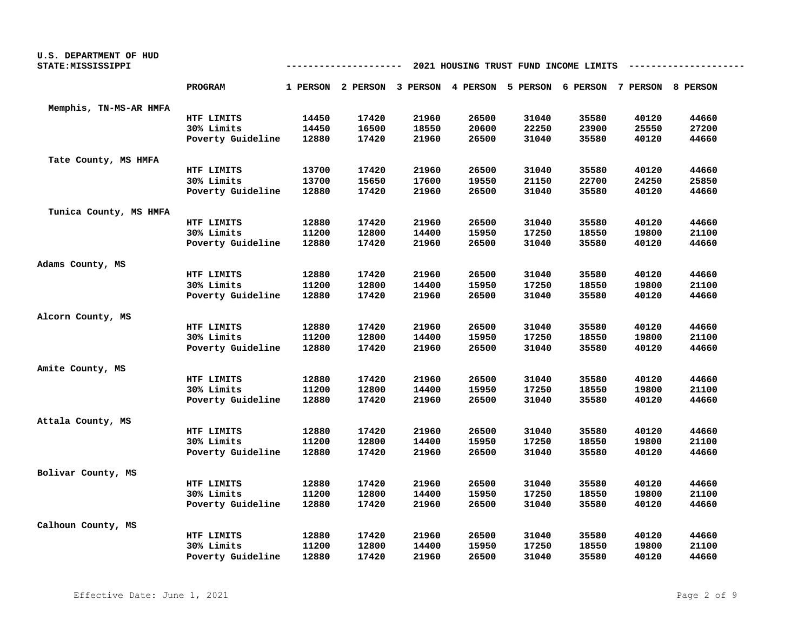| U.S. DEPARTMENT OF HUD | 2021 HOUSING TRUST FUND INCOME LIMITS |       |       |                                                                         |       |       |       |       |       |  |  |
|------------------------|---------------------------------------|-------|-------|-------------------------------------------------------------------------|-------|-------|-------|-------|-------|--|--|
| STATE: MISSISSIPPI     |                                       |       |       |                                                                         |       |       |       |       |       |  |  |
|                        | <b>PROGRAM</b>                        |       |       | 1 PERSON 2 PERSON 3 PERSON 4 PERSON 5 PERSON 6 PERSON 7 PERSON 8 PERSON |       |       |       |       |       |  |  |
| Memphis, TN-MS-AR HMFA |                                       |       |       |                                                                         |       |       |       |       |       |  |  |
|                        | HTF LIMITS                            | 14450 | 17420 | 21960                                                                   | 26500 | 31040 | 35580 | 40120 | 44660 |  |  |
|                        | 30% Limits                            | 14450 | 16500 | 18550                                                                   | 20600 | 22250 | 23900 | 25550 | 27200 |  |  |
|                        | Poverty Guideline                     | 12880 | 17420 | 21960                                                                   | 26500 | 31040 | 35580 | 40120 | 44660 |  |  |
| Tate County, MS HMFA   |                                       |       |       |                                                                         |       |       |       |       |       |  |  |
|                        | HTF LIMITS                            | 13700 | 17420 | 21960                                                                   | 26500 | 31040 | 35580 | 40120 | 44660 |  |  |
|                        | 30% Limits                            | 13700 | 15650 | 17600                                                                   | 19550 | 21150 | 22700 | 24250 | 25850 |  |  |
|                        | Poverty Guideline                     | 12880 | 17420 | 21960                                                                   | 26500 | 31040 | 35580 | 40120 | 44660 |  |  |
| Tunica County, MS HMFA |                                       |       |       |                                                                         |       |       |       |       |       |  |  |
|                        | HTF LIMITS                            | 12880 | 17420 | 21960                                                                   | 26500 | 31040 | 35580 | 40120 | 44660 |  |  |
|                        | 30% Limits                            | 11200 | 12800 | 14400                                                                   | 15950 | 17250 | 18550 | 19800 | 21100 |  |  |
|                        | Poverty Guideline                     | 12880 | 17420 | 21960                                                                   | 26500 | 31040 | 35580 | 40120 | 44660 |  |  |
| Adams County, MS       |                                       |       |       |                                                                         |       |       |       |       |       |  |  |
|                        | HTF LIMITS                            | 12880 | 17420 | 21960                                                                   | 26500 | 31040 | 35580 | 40120 | 44660 |  |  |
|                        | 30% Limits                            | 11200 | 12800 | 14400                                                                   | 15950 | 17250 | 18550 | 19800 | 21100 |  |  |
|                        | Poverty Guideline                     | 12880 | 17420 | 21960                                                                   | 26500 | 31040 | 35580 | 40120 | 44660 |  |  |
| Alcorn County, MS      |                                       |       |       |                                                                         |       |       |       |       |       |  |  |
|                        | HTF LIMITS                            | 12880 | 17420 | 21960                                                                   | 26500 | 31040 | 35580 | 40120 | 44660 |  |  |
|                        | 30% Limits                            | 11200 | 12800 | 14400                                                                   | 15950 | 17250 | 18550 | 19800 | 21100 |  |  |
|                        | Poverty Guideline                     | 12880 | 17420 | 21960                                                                   | 26500 | 31040 | 35580 | 40120 | 44660 |  |  |
| Amite County, MS       |                                       |       |       |                                                                         |       |       |       |       |       |  |  |
|                        | HTF LIMITS                            | 12880 | 17420 | 21960                                                                   | 26500 | 31040 | 35580 | 40120 | 44660 |  |  |
|                        | 30% Limits                            | 11200 | 12800 | 14400                                                                   | 15950 | 17250 | 18550 | 19800 | 21100 |  |  |
|                        | Poverty Guideline                     | 12880 | 17420 | 21960                                                                   | 26500 | 31040 | 35580 | 40120 | 44660 |  |  |
| Attala County, MS      |                                       |       |       |                                                                         |       |       |       |       |       |  |  |
|                        | HTF LIMITS                            | 12880 | 17420 | 21960                                                                   | 26500 | 31040 | 35580 | 40120 | 44660 |  |  |
|                        | 30% Limits                            | 11200 | 12800 | 14400                                                                   | 15950 | 17250 | 18550 | 19800 | 21100 |  |  |
|                        | Poverty Guideline                     | 12880 | 17420 | 21960                                                                   | 26500 | 31040 | 35580 | 40120 | 44660 |  |  |
| Bolivar County, MS     |                                       |       |       |                                                                         |       |       |       |       |       |  |  |
|                        | HTF LIMITS                            | 12880 | 17420 | 21960                                                                   | 26500 | 31040 | 35580 | 40120 | 44660 |  |  |
|                        | 30% Limits                            | 11200 | 12800 | 14400                                                                   | 15950 | 17250 | 18550 | 19800 | 21100 |  |  |
|                        | Poverty Guideline                     | 12880 | 17420 | 21960                                                                   | 26500 | 31040 | 35580 | 40120 | 44660 |  |  |
| Calhoun County, MS     |                                       |       |       |                                                                         |       |       |       |       |       |  |  |
|                        | HTF LIMITS                            | 12880 | 17420 | 21960                                                                   | 26500 | 31040 | 35580 | 40120 | 44660 |  |  |
|                        | 30% Limits                            | 11200 | 12800 | 14400                                                                   | 15950 | 17250 | 18550 | 19800 | 21100 |  |  |
|                        | Poverty Guideline                     | 12880 | 17420 | 21960                                                                   | 26500 | 31040 | 35580 | 40120 | 44660 |  |  |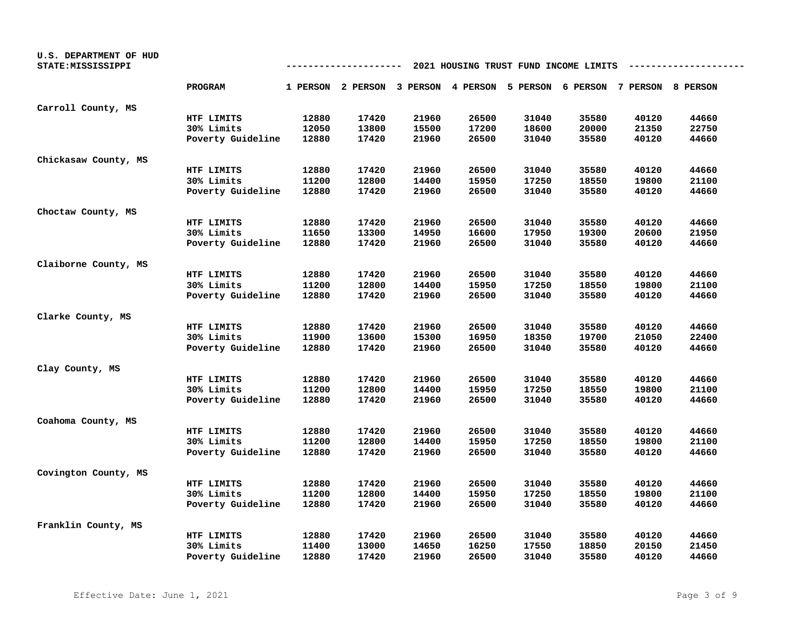| U.S. DEPARTMENT OF HUD<br>STATE: MISSISSIPPI | 2021 HOUSING TRUST FUND INCOME LIMITS |       |       |       |       |       |                                                                         |       |       |  |  |
|----------------------------------------------|---------------------------------------|-------|-------|-------|-------|-------|-------------------------------------------------------------------------|-------|-------|--|--|
|                                              | PROGRAM                               |       |       |       |       |       | 1 PERSON 2 PERSON 3 PERSON 4 PERSON 5 PERSON 6 PERSON 7 PERSON 8 PERSON |       |       |  |  |
| Carroll County, MS                           |                                       |       |       |       |       |       |                                                                         |       |       |  |  |
|                                              | HTF LIMITS                            | 12880 | 17420 | 21960 | 26500 | 31040 | 35580                                                                   | 40120 | 44660 |  |  |
|                                              | 30% Limits                            | 12050 | 13800 | 15500 | 17200 | 18600 | 20000                                                                   | 21350 | 22750 |  |  |
|                                              | Poverty Guideline                     | 12880 | 17420 | 21960 | 26500 | 31040 | 35580                                                                   | 40120 | 44660 |  |  |
| Chickasaw County, MS                         |                                       |       |       |       |       |       |                                                                         |       |       |  |  |
|                                              | HTF LIMITS                            | 12880 | 17420 | 21960 | 26500 | 31040 | 35580                                                                   | 40120 | 44660 |  |  |
|                                              | 30% Limits                            | 11200 | 12800 | 14400 | 15950 | 17250 | 18550                                                                   | 19800 | 21100 |  |  |
|                                              | Poverty Guideline                     | 12880 | 17420 | 21960 | 26500 | 31040 | 35580                                                                   | 40120 | 44660 |  |  |
| Choctaw County, MS                           |                                       |       |       |       |       |       |                                                                         |       |       |  |  |
|                                              | HTF LIMITS                            | 12880 | 17420 | 21960 | 26500 | 31040 | 35580                                                                   | 40120 | 44660 |  |  |
|                                              | 30% Limits                            | 11650 | 13300 | 14950 | 16600 | 17950 | 19300                                                                   | 20600 | 21950 |  |  |
|                                              | Poverty Guideline                     | 12880 | 17420 | 21960 | 26500 | 31040 | 35580                                                                   | 40120 | 44660 |  |  |
| Claiborne County, MS                         |                                       |       |       |       |       |       |                                                                         |       |       |  |  |
|                                              | HTF LIMITS                            | 12880 | 17420 | 21960 | 26500 | 31040 | 35580                                                                   | 40120 | 44660 |  |  |
|                                              | 30% Limits                            | 11200 | 12800 | 14400 | 15950 | 17250 | 18550                                                                   | 19800 | 21100 |  |  |
|                                              | Poverty Guideline                     | 12880 | 17420 | 21960 | 26500 | 31040 | 35580                                                                   | 40120 | 44660 |  |  |
| Clarke County, MS                            |                                       |       |       |       |       |       |                                                                         |       |       |  |  |
|                                              | HTF LIMITS                            | 12880 | 17420 | 21960 | 26500 | 31040 | 35580                                                                   | 40120 | 44660 |  |  |
|                                              | 30% Limits                            | 11900 | 13600 | 15300 | 16950 | 18350 | 19700                                                                   | 21050 | 22400 |  |  |
|                                              | Poverty Guideline                     | 12880 | 17420 | 21960 | 26500 | 31040 | 35580                                                                   | 40120 | 44660 |  |  |
| Clay County, MS                              |                                       |       |       |       |       |       |                                                                         |       |       |  |  |
|                                              | HTF LIMITS                            | 12880 | 17420 | 21960 | 26500 | 31040 | 35580                                                                   | 40120 | 44660 |  |  |
|                                              | 30% Limits                            | 11200 | 12800 | 14400 | 15950 | 17250 | 18550                                                                   | 19800 | 21100 |  |  |
|                                              | Poverty Guideline                     | 12880 | 17420 | 21960 | 26500 | 31040 | 35580                                                                   | 40120 | 44660 |  |  |
| Coahoma County, MS                           |                                       |       |       |       |       |       |                                                                         |       |       |  |  |
|                                              | HTF LIMITS                            | 12880 | 17420 | 21960 | 26500 | 31040 | 35580                                                                   | 40120 | 44660 |  |  |
|                                              | 30% Limits                            | 11200 | 12800 | 14400 | 15950 | 17250 | 18550                                                                   | 19800 | 21100 |  |  |
|                                              | Poverty Guideline                     | 12880 | 17420 | 21960 | 26500 | 31040 | 35580                                                                   | 40120 | 44660 |  |  |
| Covington County, MS                         |                                       |       |       |       |       |       |                                                                         |       |       |  |  |
|                                              | HTF LIMITS                            | 12880 | 17420 | 21960 | 26500 | 31040 | 35580                                                                   | 40120 | 44660 |  |  |
|                                              | 30% Limits                            | 11200 | 12800 | 14400 | 15950 | 17250 | 18550                                                                   | 19800 | 21100 |  |  |
|                                              | Poverty Guideline                     | 12880 | 17420 | 21960 | 26500 | 31040 | 35580                                                                   | 40120 | 44660 |  |  |
| Franklin County, MS                          |                                       |       |       |       |       |       |                                                                         |       |       |  |  |
|                                              | HTF LIMITS                            | 12880 | 17420 | 21960 | 26500 | 31040 | 35580                                                                   | 40120 | 44660 |  |  |
|                                              | 30% Limits                            | 11400 | 13000 | 14650 | 16250 | 17550 | 18850                                                                   | 20150 | 21450 |  |  |
|                                              | Poverty Guideline                     | 12880 | 17420 | 21960 | 26500 | 31040 | 35580                                                                   | 40120 | 44660 |  |  |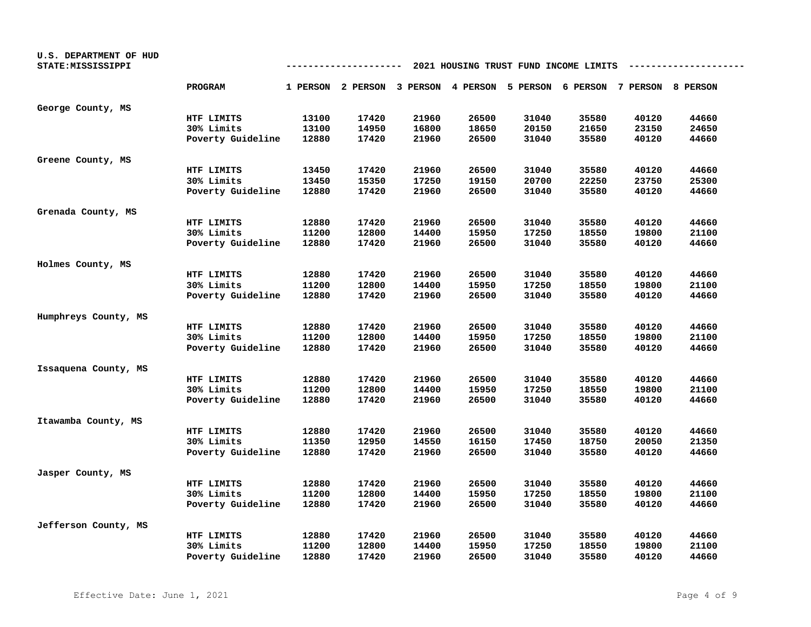| U.S. DEPARTMENT OF HUD | 2021 HOUSING TRUST FUND INCOME LIMITS |       |       |       |       |       |                                                                         |       |       |  |
|------------------------|---------------------------------------|-------|-------|-------|-------|-------|-------------------------------------------------------------------------|-------|-------|--|
| STATE: MISSISSIPPI     |                                       |       |       |       |       |       |                                                                         |       |       |  |
|                        | PROGRAM                               |       |       |       |       |       | 1 PERSON 2 PERSON 3 PERSON 4 PERSON 5 PERSON 6 PERSON 7 PERSON 8 PERSON |       |       |  |
| George County, MS      |                                       |       |       |       |       |       |                                                                         |       |       |  |
|                        | HTF LIMITS                            | 13100 | 17420 | 21960 | 26500 | 31040 | 35580                                                                   | 40120 | 44660 |  |
|                        | 30% Limits                            | 13100 | 14950 | 16800 | 18650 | 20150 | 21650                                                                   | 23150 | 24650 |  |
|                        | Poverty Guideline                     | 12880 | 17420 | 21960 | 26500 | 31040 | 35580                                                                   | 40120 | 44660 |  |
| Greene County, MS      |                                       |       |       |       |       |       |                                                                         |       |       |  |
|                        | HTF LIMITS                            | 13450 | 17420 | 21960 | 26500 | 31040 | 35580                                                                   | 40120 | 44660 |  |
|                        | 30% Limits                            | 13450 | 15350 | 17250 | 19150 | 20700 | 22250                                                                   | 23750 | 25300 |  |
|                        | Poverty Guideline                     | 12880 | 17420 | 21960 | 26500 | 31040 | 35580                                                                   | 40120 | 44660 |  |
| Grenada County, MS     |                                       |       |       |       |       |       |                                                                         |       |       |  |
|                        | HTF LIMITS                            | 12880 | 17420 | 21960 | 26500 | 31040 | 35580                                                                   | 40120 | 44660 |  |
|                        | 30% Limits                            | 11200 | 12800 | 14400 | 15950 | 17250 | 18550                                                                   | 19800 | 21100 |  |
|                        | Poverty Guideline                     | 12880 | 17420 | 21960 | 26500 | 31040 | 35580                                                                   | 40120 | 44660 |  |
| Holmes County, MS      |                                       |       |       |       |       |       |                                                                         |       |       |  |
|                        | HTF LIMITS                            | 12880 | 17420 | 21960 | 26500 | 31040 | 35580                                                                   | 40120 | 44660 |  |
|                        | 30% Limits                            | 11200 | 12800 | 14400 | 15950 | 17250 | 18550                                                                   | 19800 | 21100 |  |
|                        | Poverty Guideline                     | 12880 | 17420 | 21960 | 26500 | 31040 | 35580                                                                   | 40120 | 44660 |  |
| Humphreys County, MS   |                                       |       |       |       |       |       |                                                                         |       |       |  |
|                        | HTF LIMITS                            | 12880 | 17420 | 21960 | 26500 | 31040 | 35580                                                                   | 40120 | 44660 |  |
|                        | 30% Limits                            | 11200 | 12800 | 14400 | 15950 | 17250 | 18550                                                                   | 19800 | 21100 |  |
|                        | Poverty Guideline                     | 12880 | 17420 | 21960 | 26500 | 31040 | 35580                                                                   | 40120 | 44660 |  |
| Issaquena County, MS   |                                       |       |       |       |       |       |                                                                         |       |       |  |
|                        | HTF LIMITS                            | 12880 | 17420 | 21960 | 26500 | 31040 | 35580                                                                   | 40120 | 44660 |  |
|                        | 30% Limits                            | 11200 | 12800 | 14400 | 15950 | 17250 | 18550                                                                   | 19800 | 21100 |  |
|                        | Poverty Guideline                     | 12880 | 17420 | 21960 | 26500 | 31040 | 35580                                                                   | 40120 | 44660 |  |
| Itawamba County, MS    |                                       |       |       |       |       |       |                                                                         |       |       |  |
|                        | HTF LIMITS                            | 12880 | 17420 | 21960 | 26500 | 31040 | 35580                                                                   | 40120 | 44660 |  |
|                        | 30% Limits                            | 11350 | 12950 | 14550 | 16150 | 17450 | 18750                                                                   | 20050 | 21350 |  |
|                        | Poverty Guideline                     | 12880 | 17420 | 21960 | 26500 | 31040 | 35580                                                                   | 40120 | 44660 |  |
| Jasper County, MS      |                                       |       |       |       |       |       |                                                                         |       |       |  |
|                        | HTF LIMITS                            | 12880 | 17420 | 21960 | 26500 | 31040 | 35580                                                                   | 40120 | 44660 |  |
|                        | 30% Limits                            | 11200 | 12800 | 14400 | 15950 | 17250 | 18550                                                                   | 19800 | 21100 |  |
|                        | Poverty Guideline                     | 12880 | 17420 | 21960 | 26500 | 31040 | 35580                                                                   | 40120 | 44660 |  |
| Jefferson County, MS   |                                       |       |       |       |       |       |                                                                         |       |       |  |
|                        | HTF LIMITS                            | 12880 | 17420 | 21960 | 26500 | 31040 | 35580                                                                   | 40120 | 44660 |  |
|                        | 30% Limits                            | 11200 | 12800 | 14400 | 15950 | 17250 | 18550                                                                   | 19800 | 21100 |  |
|                        | Poverty Guideline                     | 12880 | 17420 | 21960 | 26500 | 31040 | 35580                                                                   | 40120 | 44660 |  |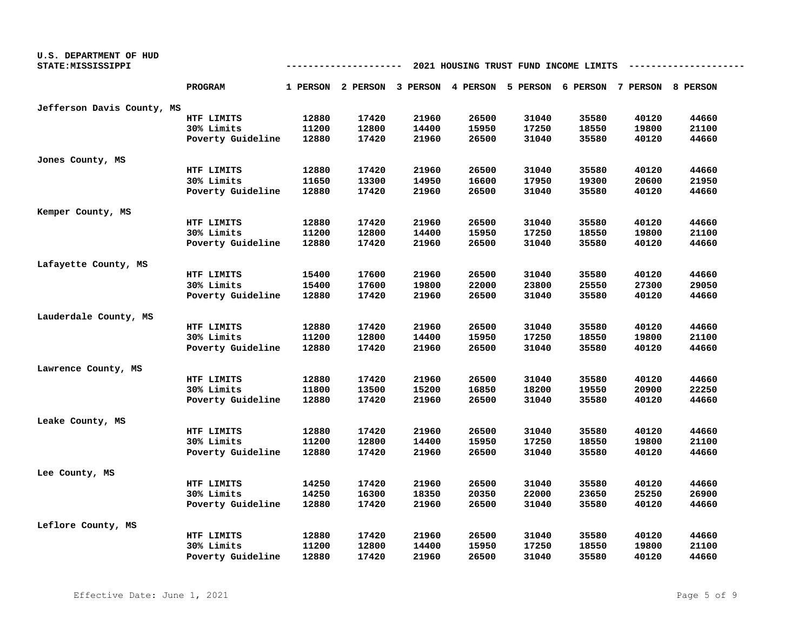| U.S. DEPARTMENT OF HUD     |                   |       |                   |                   |       |          |                                       |       |       |
|----------------------------|-------------------|-------|-------------------|-------------------|-------|----------|---------------------------------------|-------|-------|
| STATE: MISSISSIPPI         |                   |       |                   |                   |       |          | 2021 HOUSING TRUST FUND INCOME LIMITS |       |       |
|                            |                   |       |                   |                   |       |          |                                       |       |       |
|                            | <b>PROGRAM</b>    |       | 1 PERSON 2 PERSON | 3 PERSON 4 PERSON |       | 5 PERSON | 6 PERSON 7 PERSON 8 PERSON            |       |       |
| Jefferson Davis County, MS |                   |       |                   |                   |       |          |                                       |       |       |
|                            | HTF LIMITS        | 12880 | 17420             | 21960             | 26500 | 31040    | 35580                                 | 40120 | 44660 |
|                            | 30% Limits        | 11200 | 12800             | 14400             | 15950 | 17250    | 18550                                 | 19800 | 21100 |
|                            | Poverty Guideline | 12880 | 17420             | 21960             | 26500 | 31040    | 35580                                 | 40120 | 44660 |
| Jones County, MS           |                   |       |                   |                   |       |          |                                       |       |       |
|                            | HTF LIMITS        | 12880 | 17420             | 21960             | 26500 | 31040    | 35580                                 | 40120 | 44660 |
|                            | 30% Limits        | 11650 | 13300             | 14950             | 16600 | 17950    | 19300                                 | 20600 | 21950 |
|                            | Poverty Guideline | 12880 | 17420             | 21960             | 26500 | 31040    | 35580                                 | 40120 | 44660 |
|                            |                   |       |                   |                   |       |          |                                       |       |       |
| Kemper County, MS          |                   |       |                   |                   |       |          |                                       |       |       |
|                            | HTF LIMITS        | 12880 | 17420             | 21960             | 26500 | 31040    | 35580                                 | 40120 | 44660 |
|                            | 30% Limits        | 11200 | 12800             | 14400             | 15950 | 17250    | 18550                                 | 19800 | 21100 |
|                            | Poverty Guideline | 12880 | 17420             | 21960             | 26500 | 31040    | 35580                                 | 40120 | 44660 |
| Lafayette County, MS       |                   |       |                   |                   |       |          |                                       |       |       |
|                            | HTF LIMITS        | 15400 | 17600             | 21960             | 26500 | 31040    | 35580                                 | 40120 | 44660 |
|                            | 30% Limits        | 15400 | 17600             | 19800             | 22000 | 23800    | 25550                                 | 27300 | 29050 |
|                            | Poverty Guideline | 12880 | 17420             | 21960             | 26500 | 31040    | 35580                                 | 40120 | 44660 |
|                            |                   |       |                   |                   |       |          |                                       |       |       |
| Lauderdale County, MS      |                   |       |                   |                   |       |          |                                       |       |       |
|                            | HTF LIMITS        | 12880 | 17420             | 21960             | 26500 | 31040    | 35580                                 | 40120 | 44660 |
|                            | 30% Limits        | 11200 | 12800             | 14400             | 15950 | 17250    | 18550                                 | 19800 | 21100 |
|                            | Poverty Guideline | 12880 | 17420             | 21960             | 26500 | 31040    | 35580                                 | 40120 | 44660 |
| Lawrence County, MS        |                   |       |                   |                   |       |          |                                       |       |       |
|                            | HTF LIMITS        | 12880 | 17420             | 21960             | 26500 | 31040    | 35580                                 | 40120 | 44660 |
|                            | 30% Limits        | 11800 | 13500             | 15200             | 16850 | 18200    | 19550                                 | 20900 | 22250 |
|                            | Poverty Guideline | 12880 | 17420             | 21960             | 26500 | 31040    | 35580                                 | 40120 | 44660 |
|                            |                   |       |                   |                   |       |          |                                       |       |       |
| Leake County, MS           |                   |       |                   |                   |       |          |                                       |       |       |
|                            | HTF LIMITS        | 12880 | 17420             | 21960             | 26500 | 31040    | 35580                                 | 40120 | 44660 |
|                            | 30% Limits        | 11200 | 12800             | 14400             | 15950 | 17250    | 18550                                 | 19800 | 21100 |
|                            | Poverty Guideline | 12880 | 17420             | 21960             | 26500 | 31040    | 35580                                 | 40120 | 44660 |
| Lee County, MS             |                   |       |                   |                   |       |          |                                       |       |       |
|                            | HTF LIMITS        | 14250 | 17420             | 21960             | 26500 | 31040    | 35580                                 | 40120 | 44660 |
|                            | 30% Limits        | 14250 | 16300             | 18350             | 20350 | 22000    | 23650                                 | 25250 | 26900 |
|                            | Poverty Guideline | 12880 | 17420             | 21960             | 26500 | 31040    | 35580                                 | 40120 | 44660 |
|                            |                   |       |                   |                   |       |          |                                       |       |       |
| Leflore County, MS         |                   |       |                   |                   |       |          |                                       |       |       |
|                            | HTF LIMITS        | 12880 | 17420             | 21960             | 26500 | 31040    | 35580                                 | 40120 | 44660 |
|                            | 30% Limits        | 11200 | 12800             | 14400             | 15950 | 17250    | 18550                                 | 19800 | 21100 |
|                            | Poverty Guideline | 12880 | 17420             | 21960             | 26500 | 31040    | 35580                                 | 40120 | 44660 |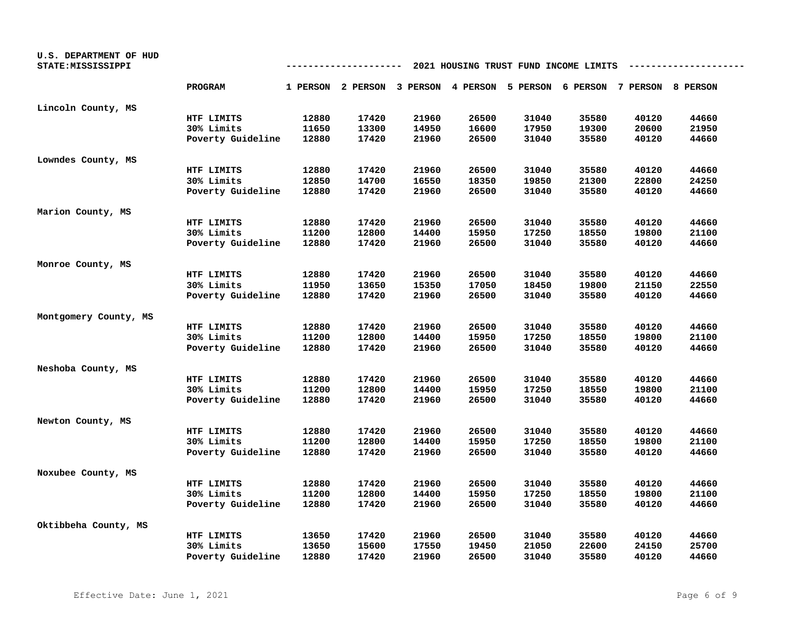| U.S. DEPARTMENT OF HUD<br>STATE: MISSISSIPPI | 2021 HOUSING TRUST FUND INCOME LIMITS |       |       |       |       |       |                                                                         |       |       |  |
|----------------------------------------------|---------------------------------------|-------|-------|-------|-------|-------|-------------------------------------------------------------------------|-------|-------|--|
|                                              | PROGRAM                               |       |       |       |       |       | 1 PERSON 2 PERSON 3 PERSON 4 PERSON 5 PERSON 6 PERSON 7 PERSON 8 PERSON |       |       |  |
| Lincoln County, MS                           |                                       |       |       |       |       |       |                                                                         |       |       |  |
|                                              | HTF LIMITS                            | 12880 | 17420 | 21960 | 26500 | 31040 | 35580                                                                   | 40120 | 44660 |  |
|                                              | 30% Limits                            | 11650 | 13300 | 14950 | 16600 | 17950 | 19300                                                                   | 20600 | 21950 |  |
|                                              | Poverty Guideline                     | 12880 | 17420 | 21960 | 26500 | 31040 | 35580                                                                   | 40120 | 44660 |  |
| Lowndes County, MS                           |                                       |       |       |       |       |       |                                                                         |       |       |  |
|                                              | HTF LIMITS                            | 12880 | 17420 | 21960 | 26500 | 31040 | 35580                                                                   | 40120 | 44660 |  |
|                                              | 30% Limits                            | 12850 | 14700 | 16550 | 18350 | 19850 | 21300                                                                   | 22800 | 24250 |  |
|                                              | Poverty Guideline                     | 12880 | 17420 | 21960 | 26500 | 31040 | 35580                                                                   | 40120 | 44660 |  |
| Marion County, MS                            |                                       |       |       |       |       |       |                                                                         |       |       |  |
|                                              | HTF LIMITS                            | 12880 | 17420 | 21960 | 26500 | 31040 | 35580                                                                   | 40120 | 44660 |  |
|                                              | 30% Limits                            | 11200 | 12800 | 14400 | 15950 | 17250 | 18550                                                                   | 19800 | 21100 |  |
|                                              | Poverty Guideline                     | 12880 | 17420 | 21960 | 26500 | 31040 | 35580                                                                   | 40120 | 44660 |  |
| Monroe County, MS                            |                                       |       |       |       |       |       |                                                                         |       |       |  |
|                                              | HTF LIMITS                            | 12880 | 17420 | 21960 | 26500 | 31040 | 35580                                                                   | 40120 | 44660 |  |
|                                              | 30% Limits                            | 11950 | 13650 | 15350 | 17050 | 18450 | 19800                                                                   | 21150 | 22550 |  |
|                                              | Poverty Guideline                     | 12880 | 17420 | 21960 | 26500 | 31040 | 35580                                                                   | 40120 | 44660 |  |
| Montgomery County, MS                        |                                       |       |       |       |       |       |                                                                         |       |       |  |
|                                              | HTF LIMITS                            | 12880 | 17420 | 21960 | 26500 | 31040 | 35580                                                                   | 40120 | 44660 |  |
|                                              | 30% Limits                            | 11200 | 12800 | 14400 | 15950 | 17250 | 18550                                                                   | 19800 | 21100 |  |
|                                              | Poverty Guideline                     | 12880 | 17420 | 21960 | 26500 | 31040 | 35580                                                                   | 40120 | 44660 |  |
| Neshoba County, MS                           |                                       |       |       |       |       |       |                                                                         |       |       |  |
|                                              | HTF LIMITS                            | 12880 | 17420 | 21960 | 26500 | 31040 | 35580                                                                   | 40120 | 44660 |  |
|                                              | 30% Limits                            | 11200 | 12800 | 14400 | 15950 | 17250 | 18550                                                                   | 19800 | 21100 |  |
|                                              | Poverty Guideline                     | 12880 | 17420 | 21960 | 26500 | 31040 | 35580                                                                   | 40120 | 44660 |  |
| Newton County, MS                            |                                       |       |       |       |       |       |                                                                         |       |       |  |
|                                              | HTF LIMITS                            | 12880 | 17420 | 21960 | 26500 | 31040 | 35580                                                                   | 40120 | 44660 |  |
|                                              | 30% Limits                            | 11200 | 12800 | 14400 | 15950 | 17250 | 18550                                                                   | 19800 | 21100 |  |
|                                              | Poverty Guideline                     | 12880 | 17420 | 21960 | 26500 | 31040 | 35580                                                                   | 40120 | 44660 |  |
| Noxubee County, MS                           |                                       |       |       |       |       |       |                                                                         |       |       |  |
|                                              | HTF LIMITS                            | 12880 | 17420 | 21960 | 26500 | 31040 | 35580                                                                   | 40120 | 44660 |  |
|                                              | 30% Limits                            | 11200 | 12800 | 14400 | 15950 | 17250 | 18550                                                                   | 19800 | 21100 |  |
|                                              | Poverty Guideline                     | 12880 | 17420 | 21960 | 26500 | 31040 | 35580                                                                   | 40120 | 44660 |  |
| Oktibbeha County, MS                         |                                       |       |       |       |       |       |                                                                         |       |       |  |
|                                              | HTF LIMITS                            | 13650 | 17420 | 21960 | 26500 | 31040 | 35580                                                                   | 40120 | 44660 |  |
|                                              | 30% Limits                            | 13650 | 15600 | 17550 | 19450 | 21050 | 22600                                                                   | 24150 | 25700 |  |
|                                              | Poverty Guideline                     | 12880 | 17420 | 21960 | 26500 | 31040 | 35580                                                                   | 40120 | 44660 |  |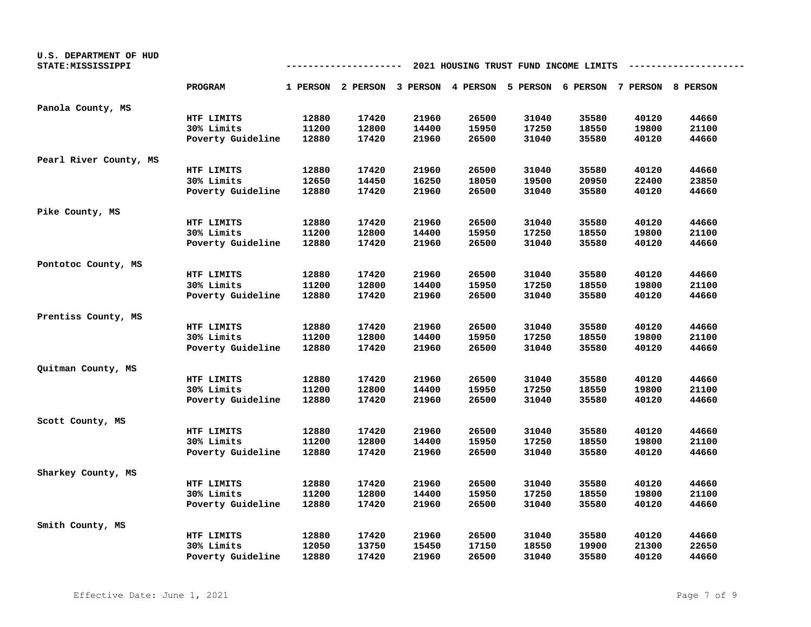| U.S. DEPARTMENT OF HUD<br>STATE: MISSISSIPPI | 2021 HOUSING TRUST FUND INCOME LIMITS |       |       |       |       |       |                                                                         |       |       |
|----------------------------------------------|---------------------------------------|-------|-------|-------|-------|-------|-------------------------------------------------------------------------|-------|-------|
|                                              | PROGRAM                               |       |       |       |       |       | 1 PERSON 2 PERSON 3 PERSON 4 PERSON 5 PERSON 6 PERSON 7 PERSON 8 PERSON |       |       |
| Panola County, MS                            |                                       |       |       |       |       |       |                                                                         |       |       |
|                                              | HTF LIMITS                            | 12880 | 17420 | 21960 | 26500 | 31040 | 35580                                                                   | 40120 | 44660 |
|                                              | 30% Limits                            | 11200 | 12800 | 14400 | 15950 | 17250 | 18550                                                                   | 19800 | 21100 |
|                                              | Poverty Guideline                     | 12880 | 17420 | 21960 | 26500 | 31040 | 35580                                                                   | 40120 | 44660 |
| Pearl River County, MS                       |                                       |       |       |       |       |       |                                                                         |       |       |
|                                              | HTF LIMITS                            | 12880 | 17420 | 21960 | 26500 | 31040 | 35580                                                                   | 40120 | 44660 |
|                                              | 30% Limits                            | 12650 | 14450 | 16250 | 18050 | 19500 | 20950                                                                   | 22400 | 23850 |
|                                              | Poverty Guideline                     | 12880 | 17420 | 21960 | 26500 | 31040 | 35580                                                                   | 40120 | 44660 |
| Pike County, MS                              |                                       |       |       |       |       |       |                                                                         |       |       |
|                                              | HTF LIMITS                            | 12880 | 17420 | 21960 | 26500 | 31040 | 35580                                                                   | 40120 | 44660 |
|                                              | 30% Limits                            | 11200 | 12800 | 14400 | 15950 | 17250 | 18550                                                                   | 19800 | 21100 |
|                                              | Poverty Guideline                     | 12880 | 17420 | 21960 | 26500 | 31040 | 35580                                                                   | 40120 | 44660 |
| Pontotoc County, MS                          |                                       |       |       |       |       |       |                                                                         |       |       |
|                                              | HTF LIMITS                            | 12880 | 17420 | 21960 | 26500 | 31040 | 35580                                                                   | 40120 | 44660 |
|                                              | 30% Limits                            | 11200 | 12800 | 14400 | 15950 | 17250 | 18550                                                                   | 19800 | 21100 |
|                                              | Poverty Guideline                     | 12880 | 17420 | 21960 | 26500 | 31040 | 35580                                                                   | 40120 | 44660 |
| Prentiss County, MS                          |                                       |       |       |       |       |       |                                                                         |       |       |
|                                              | HTF LIMITS                            | 12880 | 17420 | 21960 | 26500 | 31040 | 35580                                                                   | 40120 | 44660 |
|                                              | 30% Limits                            | 11200 | 12800 | 14400 | 15950 | 17250 | 18550                                                                   | 19800 | 21100 |
|                                              | Poverty Guideline                     | 12880 | 17420 | 21960 | 26500 | 31040 | 35580                                                                   | 40120 | 44660 |
| Quitman County, MS                           |                                       |       |       |       |       |       |                                                                         |       |       |
|                                              | HTF LIMITS                            | 12880 | 17420 | 21960 | 26500 | 31040 | 35580                                                                   | 40120 | 44660 |
|                                              | 30% Limits                            | 11200 | 12800 | 14400 | 15950 | 17250 | 18550                                                                   | 19800 | 21100 |
|                                              | Poverty Guideline                     | 12880 | 17420 | 21960 | 26500 | 31040 | 35580                                                                   | 40120 | 44660 |
| Scott County, MS                             |                                       |       |       |       |       |       |                                                                         |       |       |
|                                              | HTF LIMITS                            | 12880 | 17420 | 21960 | 26500 | 31040 | 35580                                                                   | 40120 | 44660 |
|                                              | 30% Limits                            | 11200 | 12800 | 14400 | 15950 | 17250 | 18550                                                                   | 19800 | 21100 |
|                                              | Poverty Guideline                     | 12880 | 17420 | 21960 | 26500 | 31040 | 35580                                                                   | 40120 | 44660 |
| Sharkey County, MS                           |                                       |       |       |       |       |       |                                                                         |       |       |
|                                              | HTF LIMITS                            | 12880 | 17420 | 21960 | 26500 | 31040 | 35580                                                                   | 40120 | 44660 |
|                                              | 30% Limits                            | 11200 | 12800 | 14400 | 15950 | 17250 | 18550                                                                   | 19800 | 21100 |
|                                              | Poverty Guideline                     | 12880 | 17420 | 21960 | 26500 | 31040 | 35580                                                                   | 40120 | 44660 |
| Smith County, MS                             |                                       |       |       |       |       |       |                                                                         |       |       |
|                                              | HTF LIMITS                            | 12880 | 17420 | 21960 | 26500 | 31040 | 35580                                                                   | 40120 | 44660 |
|                                              | 30% Limits                            | 12050 | 13750 | 15450 | 17150 | 18550 | 19900                                                                   | 21300 | 22650 |
|                                              | Poverty Guideline                     | 12880 | 17420 | 21960 | 26500 | 31040 | 35580                                                                   | 40120 | 44660 |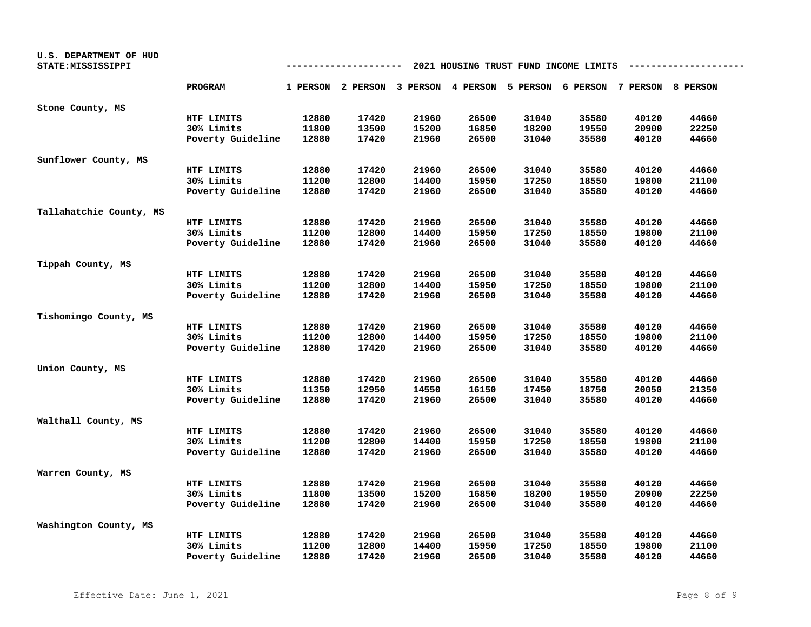| U.S. DEPARTMENT OF HUD  |                   |                                       |       |       |       |       |                                                                         |       |       |  |
|-------------------------|-------------------|---------------------------------------|-------|-------|-------|-------|-------------------------------------------------------------------------|-------|-------|--|
| STATE: MISSISSIPPI      |                   | 2021 HOUSING TRUST FUND INCOME LIMITS |       |       |       |       |                                                                         |       |       |  |
|                         | PROGRAM           |                                       |       |       |       |       | 1 PERSON 2 PERSON 3 PERSON 4 PERSON 5 PERSON 6 PERSON 7 PERSON 8 PERSON |       |       |  |
|                         |                   |                                       |       |       |       |       |                                                                         |       |       |  |
| Stone County, MS        |                   |                                       |       |       |       |       |                                                                         |       |       |  |
|                         | HTF LIMITS        | 12880                                 | 17420 | 21960 | 26500 | 31040 | 35580                                                                   | 40120 | 44660 |  |
|                         | 30% Limits        | 11800                                 | 13500 | 15200 | 16850 | 18200 | 19550                                                                   | 20900 | 22250 |  |
|                         | Poverty Guideline | 12880                                 | 17420 | 21960 | 26500 | 31040 | 35580                                                                   | 40120 | 44660 |  |
| Sunflower County, MS    |                   |                                       |       |       |       |       |                                                                         |       |       |  |
|                         | HTF LIMITS        | 12880                                 | 17420 | 21960 | 26500 | 31040 | 35580                                                                   | 40120 | 44660 |  |
|                         | 30% Limits        | 11200                                 | 12800 | 14400 | 15950 | 17250 | 18550                                                                   | 19800 | 21100 |  |
|                         | Poverty Guideline | 12880                                 | 17420 | 21960 | 26500 | 31040 | 35580                                                                   | 40120 | 44660 |  |
| Tallahatchie County, MS |                   |                                       |       |       |       |       |                                                                         |       |       |  |
|                         | HTF LIMITS        | 12880                                 | 17420 | 21960 | 26500 | 31040 | 35580                                                                   | 40120 | 44660 |  |
|                         | 30% Limits        | 11200                                 | 12800 | 14400 | 15950 | 17250 | 18550                                                                   | 19800 | 21100 |  |
|                         | Poverty Guideline | 12880                                 | 17420 | 21960 | 26500 | 31040 | 35580                                                                   | 40120 | 44660 |  |
|                         |                   |                                       |       |       |       |       |                                                                         |       |       |  |
| Tippah County, MS       |                   |                                       |       |       |       |       |                                                                         |       |       |  |
|                         | HTF LIMITS        | 12880                                 | 17420 | 21960 | 26500 | 31040 | 35580                                                                   | 40120 | 44660 |  |
|                         | 30% Limits        | 11200                                 | 12800 | 14400 | 15950 | 17250 | 18550                                                                   | 19800 | 21100 |  |
|                         | Poverty Guideline | 12880                                 | 17420 | 21960 | 26500 | 31040 | 35580                                                                   | 40120 | 44660 |  |
| Tishomingo County, MS   |                   |                                       |       |       |       |       |                                                                         |       |       |  |
|                         | HTF LIMITS        | 12880                                 | 17420 | 21960 | 26500 | 31040 | 35580                                                                   | 40120 | 44660 |  |
|                         | 30% Limits        | 11200                                 | 12800 | 14400 | 15950 | 17250 | 18550                                                                   | 19800 | 21100 |  |
|                         | Poverty Guideline | 12880                                 | 17420 | 21960 | 26500 | 31040 | 35580                                                                   | 40120 | 44660 |  |
| Union County, MS        |                   |                                       |       |       |       |       |                                                                         |       |       |  |
|                         | HTF LIMITS        | 12880                                 | 17420 | 21960 | 26500 | 31040 | 35580                                                                   | 40120 | 44660 |  |
|                         | 30% Limits        | 11350                                 | 12950 | 14550 | 16150 | 17450 | 18750                                                                   | 20050 | 21350 |  |
|                         | Poverty Guideline | 12880                                 | 17420 | 21960 | 26500 | 31040 | 35580                                                                   | 40120 | 44660 |  |
| Walthall County, MS     |                   |                                       |       |       |       |       |                                                                         |       |       |  |
|                         | HTF LIMITS        | 12880                                 | 17420 | 21960 | 26500 | 31040 | 35580                                                                   | 40120 | 44660 |  |
|                         | 30% Limits        | 11200                                 | 12800 | 14400 | 15950 | 17250 | 18550                                                                   | 19800 | 21100 |  |
|                         | Poverty Guideline | 12880                                 | 17420 | 21960 | 26500 | 31040 | 35580                                                                   | 40120 | 44660 |  |
|                         |                   |                                       |       |       |       |       |                                                                         |       |       |  |
| Warren County, MS       |                   |                                       |       |       |       |       |                                                                         |       |       |  |
|                         | HTF LIMITS        | 12880                                 | 17420 | 21960 | 26500 | 31040 | 35580                                                                   | 40120 | 44660 |  |
|                         | 30% Limits        | 11800                                 | 13500 | 15200 | 16850 | 18200 | 19550                                                                   | 20900 | 22250 |  |
|                         | Poverty Guideline | 12880                                 | 17420 | 21960 | 26500 | 31040 | 35580                                                                   | 40120 | 44660 |  |
| Washington County, MS   |                   |                                       |       |       |       |       |                                                                         |       |       |  |
|                         | HTF LIMITS        | 12880                                 | 17420 | 21960 | 26500 | 31040 | 35580                                                                   | 40120 | 44660 |  |
|                         | 30% Limits        | 11200                                 | 12800 | 14400 | 15950 | 17250 | 18550                                                                   | 19800 | 21100 |  |
|                         | Poverty Guideline | 12880                                 | 17420 | 21960 | 26500 | 31040 | 35580                                                                   | 40120 | 44660 |  |